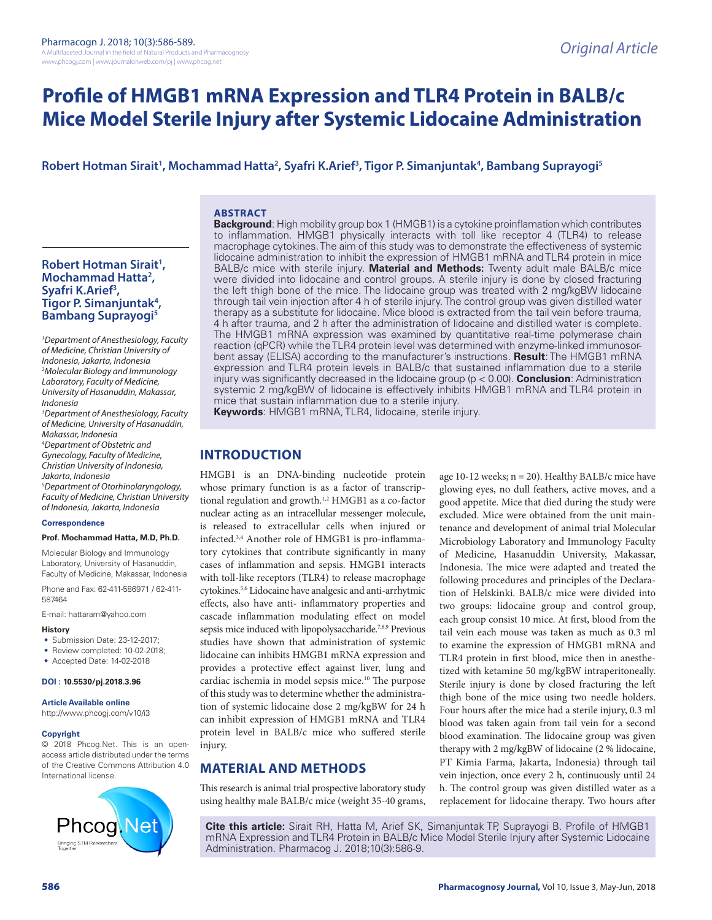# **Profile of HMGB1 mRNA Expression and TLR4 Protein in BALB/c Mice Model Sterile Injury after Systemic Lidocaine Administration**

# **Robert Hotman Sirait1 , Mochammad Hatta2 , Syafri K.Arief3 , Tigor P. Simanjuntak4 , Bambang Suprayogi5**

#### **ABSTRACT**

# **Robert Hotman Sirait1 , Mochammad Hatta2 , Syafri K.Arief3 , Tigor P. Simanjuntak4 , Bambang Suprayogi5**

*1 Department of Anesthesiology, Faculty of Medicine, Christian University of Indonesia, Jakarta, Indonesia 2 Molecular Biology and Immunology Laboratory, Faculty of Medicine, University of Hasanuddin, Makassar, Indonesia*

*3 Department of Anesthesiology, Faculty of Medicine, University of Hasanuddin, Makassar, Indonesia 4 Department of Obstetric and* 

*Gynecology, Faculty of Medicine, Christian University of Indonesia, Jakarta, Indonesia 5 Department of Otorhinolaryngology, Faculty of Medicine, Christian University of Indonesia, Jakarta, Indonesia*

#### **Correspondence**

#### **Prof. Mochammad Hatta, M.D, Ph.D.**

Molecular Biology and Immunology Laboratory, University of Hasanuddin, Faculty of Medicine, Makassar, Indonesia

Phone and Fax: 62-411-586971 / 62-411- 587464

E-mail: hattaram@yahoo.com

#### **History**

• Submission Date: 23-12-2017;

- Review completed: 10-02-2018;
- Accepted Date: 14-02-2018

#### **DOI : 10.5530/pj.2018.3.96**

#### **Article Available online**

http://www.phcogj.com/v10/i3

#### **Copyright**

© 2018 Phcog.Net. This is an openaccess article distributed under the terms of the Creative Commons Attribution 4.0 International license.



**Background**: High mobility group box 1 (HMGB1) is a cytokine proinflamation which contributes to inflammation. HMGB1 physically interacts with toll like receptor 4 (TLR4) to release macrophage cytokines. The aim of this study was to demonstrate the effectiveness of systemic lidocaine administration to inhibit the expression of HMGB1 mRNA and TLR4 protein in mice BALB/c mice with sterile injury. **Material and Methods:** Twenty adult male BALB/c mice were divided into lidocaine and control groups. A sterile injury is done by closed fracturing the left thigh bone of the mice. The lidocaine group was treated with 2 mg/kgBW lidocaine through tail vein injection after 4 h of sterile injury. The control group was given distilled water therapy as a substitute for lidocaine. Mice blood is extracted from the tail vein before trauma, 4 h after trauma, and 2 h after the administration of lidocaine and distilled water is complete. The HMGB1 mRNA expression was examined by quantitative real-time polymerase chain reaction (qPCR) while the TLR4 protein level was determined with enzyme-linked immunosorbent assay (ELISA) according to the manufacturer's instructions. **Result**: The HMGB1 mRNA expression and TLR4 protein levels in BALB/c that sustained inflammation due to a sterile injury was significantly decreased in the lidocaine group (p < 0.00). **Conclusion**: Administration systemic 2 mg/kgBW of lidocaine is effectively inhibits HMGB1 mRNA and TLR4 protein in mice that sustain inflammation due to a sterile injury.

**Keywords**: HMGB1 mRNA, TLR4, lidocaine, sterile injury.

# **INTRODUCTION**

HMGB1 is an DNA-binding nucleotide protein whose primary function is as a factor of transcriptional regulation and growth.<sup>1,2</sup> HMGB1 as a co-factor nuclear acting as an intracellular messenger molecule, is released to extracellular cells when injured or infected.3,4 Another role of HMGB1 is pro-inflammatory cytokines that contribute significantly in many cases of inflammation and sepsis. HMGB1 interacts with toll-like receptors (TLR4) to release macrophage cytokines.5,6 Lidocaine have analgesic and anti-arrhytmic effects, also have anti- inflammatory properties and cascade inflammation modulating effect on model sepsis mice induced with lipopolysaccharide.<sup>7,8,9</sup> Previous studies have shown that administration of systemic lidocaine can inhibits HMGB1 mRNA expression and provides a protective effect against liver, lung and cardiac ischemia in model sepsis mice.10 The purpose of this study was to determine whether the administration of systemic lidocaine dose 2 mg/kgBW for 24 h can inhibit expression of HMGB1 mRNA and TLR4 protein level in BALB/c mice who suffered sterile injury.

# **MATERIAL AND METHODS**

This research is animal trial prospective laboratory study using healthy male BALB/c mice (weight 35-40 grams, age 10-12 weeks; n = 20). Healthy BALB/c mice have glowing eyes, no dull feathers, active moves, and a good appetite. Mice that died during the study were excluded. Mice were obtained from the unit maintenance and development of animal trial Molecular Microbiology Laboratory and Immunology Faculty of Medicine, Hasanuddin University, Makassar, Indonesia. The mice were adapted and treated the following procedures and principles of the Declaration of Helskinki. BALB/c mice were divided into two groups: lidocaine group and control group, each group consist 10 mice. At first, blood from the tail vein each mouse was taken as much as 0.3 ml to examine the expression of HMGB1 mRNA and TLR4 protein in first blood, mice then in anesthetized with ketamine 50 mg/kgBW intraperitoneally. Sterile injury is done by closed fracturing the left thigh bone of the mice using two needle holders. Four hours after the mice had a sterile injury, 0.3 ml blood was taken again from tail vein for a second blood examination. The lidocaine group was given therapy with 2 mg/kgBW of lidocaine (2 % lidocaine, PT Kimia Farma, Jakarta, Indonesia) through tail vein injection, once every 2 h, continuously until 24 h. The control group was given distilled water as a replacement for lidocaine therapy. Two hours after

**Cite this article:** Sirait RH, Hatta M, Arief SK, Simanjuntak TP, Suprayogi B. Profile of HMGB1 mRNA Expression and TLR4 Protein in BALB/c Mice Model Sterile Injury after Systemic Lidocaine Administration. Pharmacog J. 2018;10(3):586-9.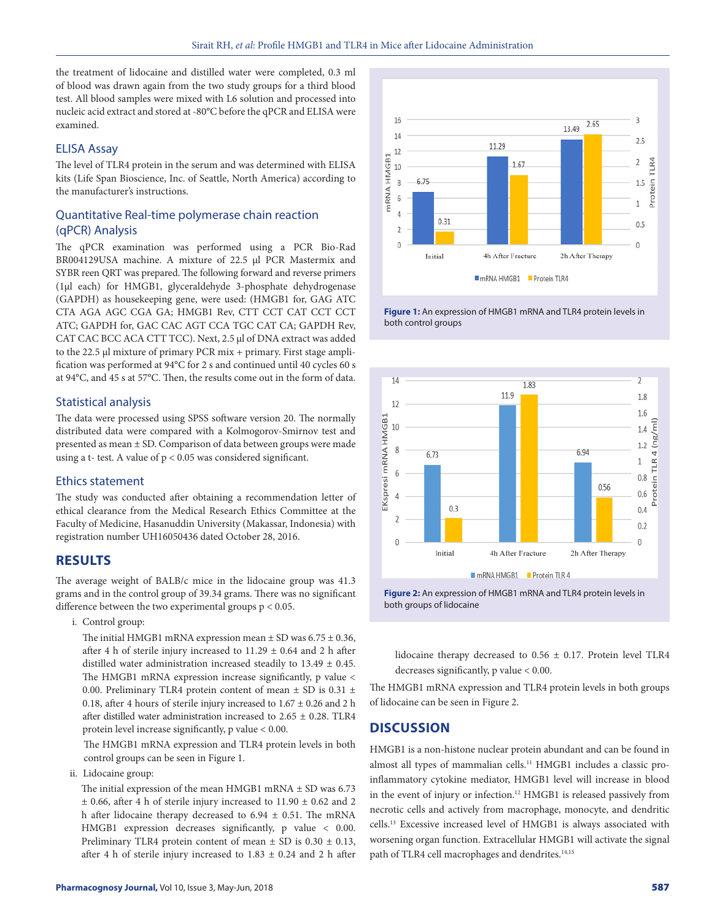the treatment of lidocaine and distilled water were completed, 0.3 ml of blood was drawn again from the two study groups for a third blood test. All blood samples were mixed with L6 solution and processed into nucleic acid extract and stored at -80°C before the qPCR and ELISA were examined.

#### ELISA Assay

The level of TLR4 protein in the serum and was determined with ELISA kits (Life Span Bioscience, Inc. of Seattle, North America) according to the manufacturer's instructions.

# Quantitative Real-time polymerase chain reaction (qPCR) Analysis

The qPCR examination was performed using a PCR Bio-Rad BR004129USA machine. A mixture of 22.5 μl PCR Mastermix and SYBR reen QRT was prepared. The following forward and reverse primers (1µl each) for HMGB1, glyceraldehyde 3-phosphate dehydrogenase (GAPDH) as housekeeping gene, were used: (HMGB1 for, GAG ATC CTA AGA AGC CGA GA; HMGB1 Rev, CTT CCT CAT CCT CCT ATC; GAPDH for, GAC CAC AGT CCA TGC CAT CA; GAPDH Rev, CAT CAC BCC ACA CTT TCC). Next, 2.5 μl of DNA extract was added to the 22.5 μl mixture of primary PCR mix + primary. First stage amplification was performed at 94°C for 2 s and continued until 40 cycles 60 s at 94°C, and 45 s at 57°C. Then, the results come out in the form of data.

# Statistical analysis

The data were processed using SPSS software version 20. The normally distributed data were compared with a Kolmogorov-Smirnov test and presented as mean ± SD. Comparison of data between groups were made using a t- test. A value of  $p < 0.05$  was considered significant.

#### Ethics statement

The study was conducted after obtaining a recommendation letter of ethical clearance from the Medical Research Ethics Committee at the Faculty of Medicine, Hasanuddin University (Makassar, Indonesia) with registration number UH16050436 dated October 28, 2016.

#### **RESULTS**

The average weight of BALB/c mice in the lidocaine group was 41.3 grams and in the control group of 39.34 grams. There was no significant difference between the two experimental groups p < 0.05.

i. Control group:

The initial HMGB1 mRNA expression mean  $\pm$  SD was 6.75  $\pm$  0.36, after 4 h of sterile injury increased to  $11.29 \pm 0.64$  and 2 h after distilled water administration increased steadily to 13.49 ± 0.45. The HMGB1 mRNA expression increase significantly, p value < 0.00. Preliminary TLR4 protein content of mean  $\pm$  SD is 0.31  $\pm$ 0.18, after 4 hours of sterile injury increased to  $1.67 \pm 0.26$  and 2 h after distilled water administration increased to  $2.65 \pm 0.28$ . TLR4 protein level increase significantly, p value < 0.00.

The HMGB1 mRNA expression and TLR4 protein levels in both control groups can be seen in Figure 1.

ii. Lidocaine group:

The initial expression of the mean HMGB1 mRNA  $\pm$  SD was 6.73  $\pm$  0.66, after 4 h of sterile injury increased to 11.90  $\pm$  0.62 and 2 h after lidocaine therapy decreased to  $6.94 \pm 0.51$ . The mRNA HMGB1 expression decreases significantly, p value < 0.00. Preliminary TLR4 protein content of mean  $\pm$  SD is 0.30  $\pm$  0.13, after 4 h of sterile injury increased to  $1.83 \pm 0.24$  and 2 h after



**Figure 1:** An expression of HMGB1 mRNA and TLR4 protein levels in both control groups



**Figure 2:** An expression of HMGB1 mRNA and TLR4 protein levels in both groups of lidocaine

lidocaine therapy decreased to 0.56 ± 0.17. Protein level TLR4 decreases significantly, p value < 0.00.

The HMGB1 mRNA expression and TLR4 protein levels in both groups of lidocaine can be seen in Figure 2.

# **DISCUSSION**

HMGB1 is a non-histone nuclear protein abundant and can be found in almost all types of mammalian cells.<sup>11</sup> HMGB1 includes a classic proinflammatory cytokine mediator, HMGB1 level will increase in blood in the event of injury or infection.12 HMGB1 is released passively from necrotic cells and actively from macrophage, monocyte, and dendritic cells.13 Excessive increased level of HMGB1 is always associated with worsening organ function. Extracellular HMGB1 will activate the signal path of TLR4 cell macrophages and dendrites.<sup>14,15</sup>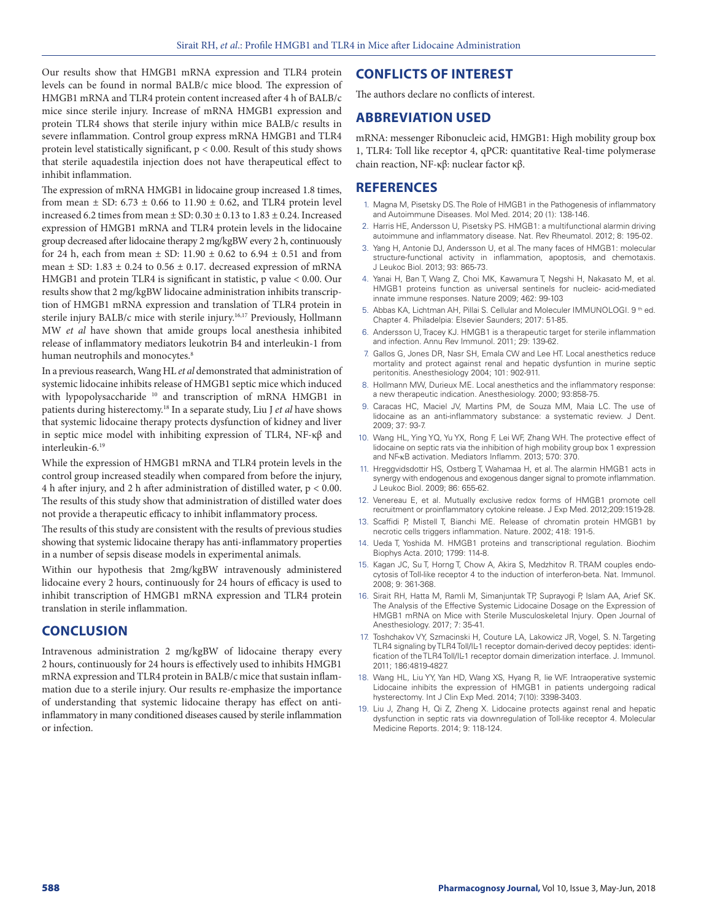Our results show that HMGB1 mRNA expression and TLR4 protein levels can be found in normal BALB/c mice blood. The expression of HMGB1 mRNA and TLR4 protein content increased after 4 h of BALB/c mice since sterile injury. Increase of mRNA HMGB1 expression and protein TLR4 shows that sterile injury within mice BALB/c results in severe inflammation. Control group express mRNA HMGB1 and TLR4 protein level statistically significant, p < 0.00. Result of this study shows that sterile aquadestila injection does not have therapeutical effect to inhibit inflammation.

The expression of mRNA HMGB1 in lidocaine group increased 1.8 times, from mean  $\pm$  SD: 6.73  $\pm$  0.66 to 11.90  $\pm$  0.62, and TLR4 protein level increased 6.2 times from mean  $\pm$  SD: 0.30  $\pm$  0.13 to 1.83  $\pm$  0.24. Increased expression of HMGB1 mRNA and TLR4 protein levels in the lidocaine group decreased after lidocaine therapy 2 mg/kgBW every 2 h, continuously for 24 h, each from mean  $\pm$  SD: 11.90  $\pm$  0.62 to 6.94  $\pm$  0.51 and from mean  $\pm$  SD: 1.83  $\pm$  0.24 to 0.56  $\pm$  0.17. decreased expression of mRNA HMGB1 and protein TLR4 is significant in statistic, p value < 0.00. Our results show that 2 mg/kgBW lidocaine administration inhibits transcription of HMGB1 mRNA expression and translation of TLR4 protein in sterile injury BALB/c mice with sterile injury.<sup>16,17</sup> Previously, Hollmann MW *et al* have shown that amide groups local anesthesia inhibited release of inflammatory mediators leukotrin B4 and interleukin-1 from human neutrophils and monocytes.<sup>8</sup>

In a previous reasearch, Wang HL *et al* demonstrated that administration of systemic lidocaine inhibits release of HMGB1 septic mice which induced with lypopolysaccharide <sup>10</sup> and transcription of mRNA HMGB1 in patients during histerectomy.18 In a separate study, Liu J *et al* have shows that systemic lidocaine therapy protects dysfunction of kidney and liver in septic mice model with inhibiting expression of TLR4, NF-κβ and interleukin-6.19

While the expression of HMGB1 mRNA and TLR4 protein levels in the control group increased steadily when compared from before the injury, 4 h after injury, and 2 h after administration of distilled water,  $p < 0.00$ . The results of this study show that administration of distilled water does not provide a therapeutic efficacy to inhibit inflammatory process.

The results of this study are consistent with the results of previous studies showing that systemic lidocaine therapy has anti-inflammatory properties in a number of sepsis disease models in experimental animals.

Within our hypothesis that 2mg/kgBW intravenously administered lidocaine every 2 hours, continuously for 24 hours of efficacy is used to inhibit transcription of HMGB1 mRNA expression and TLR4 protein translation in sterile inflammation.

# **CONCLUSION**

Intravenous administration 2 mg/kgBW of lidocaine therapy every 2 hours, continuously for 24 hours is effectively used to inhibits HMGB1 mRNA expression and TLR4 protein in BALB/c mice that sustain inflammation due to a sterile injury. Our results re-emphasize the importance of understanding that systemic lidocaine therapy has effect on antiinflammatory in many conditioned diseases caused by sterile inflammation or infection.

# **CONFLICTS OF INTEREST**

The authors declare no conflicts of interest.

## **ABBREVIATION USED**

mRNA: messenger Ribonucleic acid, HMGB1: High mobility group box 1, TLR4: Toll like receptor 4, qPCR: quantitative Real-time polymerase chain reaction, NF-κβ: nuclear factor κβ.

## **REFERENCES**

- 1. Magna M, Pisetsky DS. The Role of HMGB1 in the Pathogenesis of inflammatory and Autoimmune Diseases. Mol Med. 2014; 20 (1): 138-146.
- 2. Harris HE, Andersson U, Pisetsky PS. HMGB1: a multifunctional alarmin driving autoimmune and inflammatory disease. Nat. Rev Rheumatol. 2012; 8: 195-02.
- 3. Yang H, Antonie DJ, Andersson U, et al. The many faces of HMGB1: molecular structure-functional activity in inflammation, apoptosis, and chemotaxis. J Leukoc Biol. 2013; 93: 865-73.
- 4. Yanai H, Ban T, Wang Z, Choi MK, Kawamura T, Negshi H, Nakasato M, et al. HMGB1 proteins function as universal sentinels for nucleic- acid-mediated innate immune responses. Nature 2009; 462: 99-103
- 5. Abbas KA, Lichtman AH, Pillai S. Cellular and Moleculer IMMUNOLOGI. 9 th ed. Chapter 4. Philadelpia: Elsevier Saunders; 2017: 51-85.
- 6. Andersson U, Tracey KJ. HMGB1 is a therapeutic target for sterile inflammation and infection. Annu Rev Immunol. 2011; 29: 139-62.
- 7. Gallos G, Jones DR, Nasr SH, Emala CW and Lee HT. Local anesthetics reduce mortality and protect against renal and hepatic dysfuntion in murine septic peritonitis. Anesthesiology 2004; 101: 902-911.
- 8. Hollmann MW, Durieux ME. Local anesthetics and the inflammatory response: a new therapeutic indication. Anesthesiology. 2000; 93:858-75.
- 9. Caracas HC, Maciel JV, Martins PM, de Souza MM, Maia LC. The use of lidocaine as an anti-inflammatory substance: a systematic review. J Dent*.* 2009; 37: 93-7.
- 10. Wang HL, Ying YQ, Yu YX, Rong F, Lei WF, Zhang WH. The protective effect of lidocaine on septic rats via the inhibition of high mobility group box 1 expression and NF-κB activation. Mediators Inflamm. 2013; 570: 370.
- 11. Hreggvidsdottir HS, Ostberg T, Wahamaa H, et al. The alarmin HMGB1 acts in synergy with endogenous and exogenous danger signal to promote inflammation. J Leukoc Biol. 2009; 86: 655-62.
- 12. Venereau E, et al. Mutually exclusive redox forms of HMGB1 promote cell recruitment or proinflammatory cytokine release. J Exp Med. 2012;209:1519-28.
- 13. Scaffidi P, Mistell T, Bianchi ME. Release of chromatin protein HMGB1 by necrotic cells triggers inflammation. Nature. 2002; 418: 191-5.
- 14. Ueda T, Yoshida M. HMGB1 proteins and transcriptional regulation. Biochim Biophys Acta. 2010; 1799: 114-8.
- 15. Kagan JC, Su T, Horng T, Chow A, Akira S, Medzhitov R. TRAM couples endocytosis of Toll-like receptor 4 to the induction of interferon-beta. Nat. Immunol. 2008; 9: 361-368.
- 16. Sirait RH, Hatta M, Ramli M, Simanjuntak TP, Suprayogi P, Islam AA, Arief SK. The Analysis of the Effective Systemic Lidocaine Dosage on the Expression of HMGB1 mRNA on Mice with Sterile Musculoskeletal Injury*.* Open Journal of Anesthesiology. 2017; 7: 35-41.
- 17. Toshchakov VY, Szmacinski H, Couture LA, Lakowicz JR, Vogel, S. N. Targeting TLR4 signaling by TLR4 Toll/IL-1 receptor domain-derived decoy peptides: identification of the TLR4 Toll/IL-1 receptor domain dimerization interface. J. Immunol. 2011; 186:4819-4827.
- 18. Wang HL, Liu YY, Yan HD, Wang XS, Hyang R, lie WF. Intraoperative systemic Lidocaine inhibits the expression of HMGB1 in patients undergoing radical hysterectomy. Int J Clin Exp Med. 2014; 7(10): 3398-3403.
- 19. Liu J, Zhang H, Qi Z, Zheng X. Lidocaine protects against renal and hepatic dysfunction in septic rats via downregulation of Toll-like receptor 4. Molecular Medicine Reports. 2014; 9: 118-124.